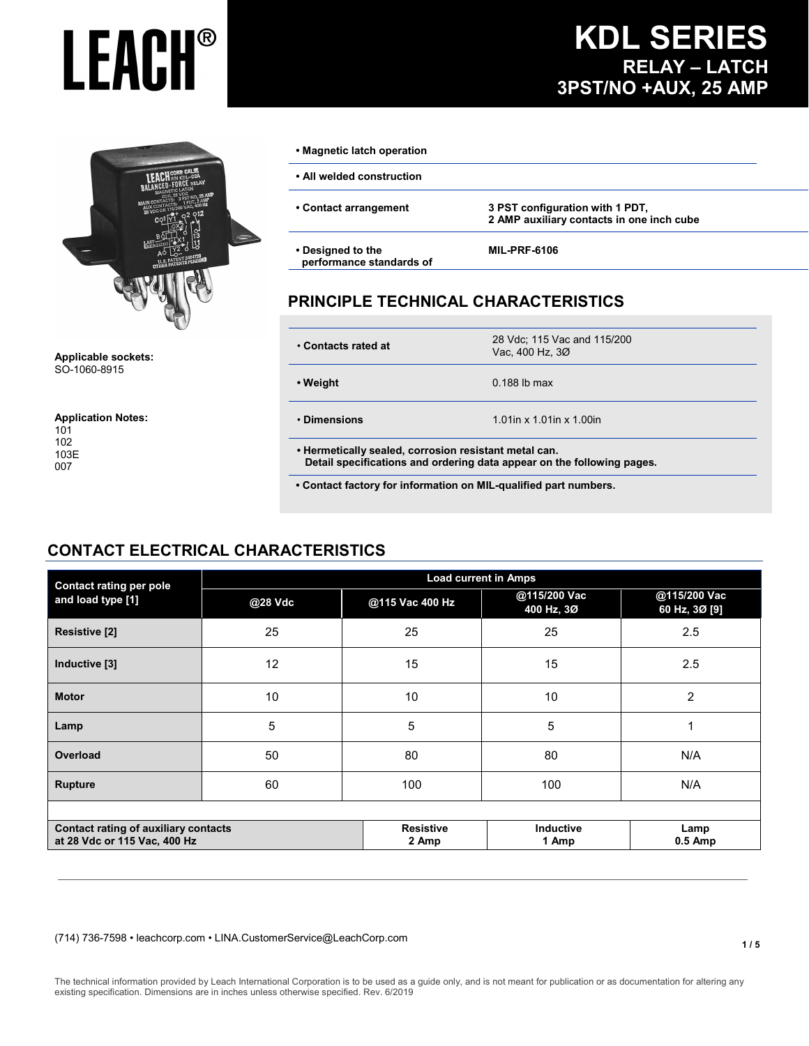

**Applicable sockets:** SO-1060-8915

**Application Notes:**

#### **• Magnetic latch operation**

| • All welded construction |  |
|---------------------------|--|
|---------------------------|--|

- 
- **Contact arrangement 3 PST configuration with 1 PDT, 2 AMP auxiliary contacts in one inch cube**
- **Designed to the performance standards of**

#### **MIL-PRF-6106**

#### **PRINCIPLE TECHNICAL CHARACTERISTICS**

| • Contacts rated at                                                                                                             | 28 Vdc; 115 Vac and 115/200<br>Vac. 400 Hz. 3Ø |
|---------------------------------------------------------------------------------------------------------------------------------|------------------------------------------------|
| • Weight                                                                                                                        | $0.188$ lb max                                 |
| • Dimensions                                                                                                                    | 1.01in x 1.01in x 1.00in                       |
| . Hermetically sealed, corrosion resistant metal can.<br>Detail specifications and ordering data appear on the following pages. |                                                |

**• Contact factory for information on MIL-qualified part numbers.**

#### **CONTACT ELECTRICAL CHARACTERISTICS**

| <b>Contact rating per pole</b>                                       |         |                           | <b>Load current in Amps</b> |                               |
|----------------------------------------------------------------------|---------|---------------------------|-----------------------------|-------------------------------|
| and load type [1]                                                    | @28 Vdc | @115 Vac 400 Hz           | @115/200 Vac<br>400 Hz, 3Ø  | @115/200 Vac<br>60 Hz, 3Ø [9] |
| <b>Resistive [2]</b>                                                 | 25      | 25                        | 25                          | 2.5                           |
| Inductive [3]                                                        | 12      | 15                        | 15                          | 2.5                           |
| <b>Motor</b>                                                         | 10      | 10                        | 10                          | $\overline{2}$                |
| Lamp                                                                 | 5       | 5                         | 5                           |                               |
| Overload                                                             | 50      | 80                        | 80                          | N/A                           |
| <b>Rupture</b>                                                       | 60      | 100                       | 100                         | N/A                           |
|                                                                      |         |                           |                             |                               |
| Contact rating of auxiliary contacts<br>at 28 Vdc or 115 Vac, 400 Hz |         | <b>Resistive</b><br>2 Amp | Inductive<br>1 Amp          | Lamp<br>$0.5$ Amp             |

(714) 736-7598 • leachcorp.com • LINA.CustomerService@LeachCorp.com

**KDL SERIES RELAY – LATCH 3PST/NO +AUX, 25 AMP**

The technical information provided by Leach International Corporation is to be used as a guide only, and is not meant for publication or as documentation for altering any existing specification. Dimensions are in inches unless otherwise specified. Rev. 6/2019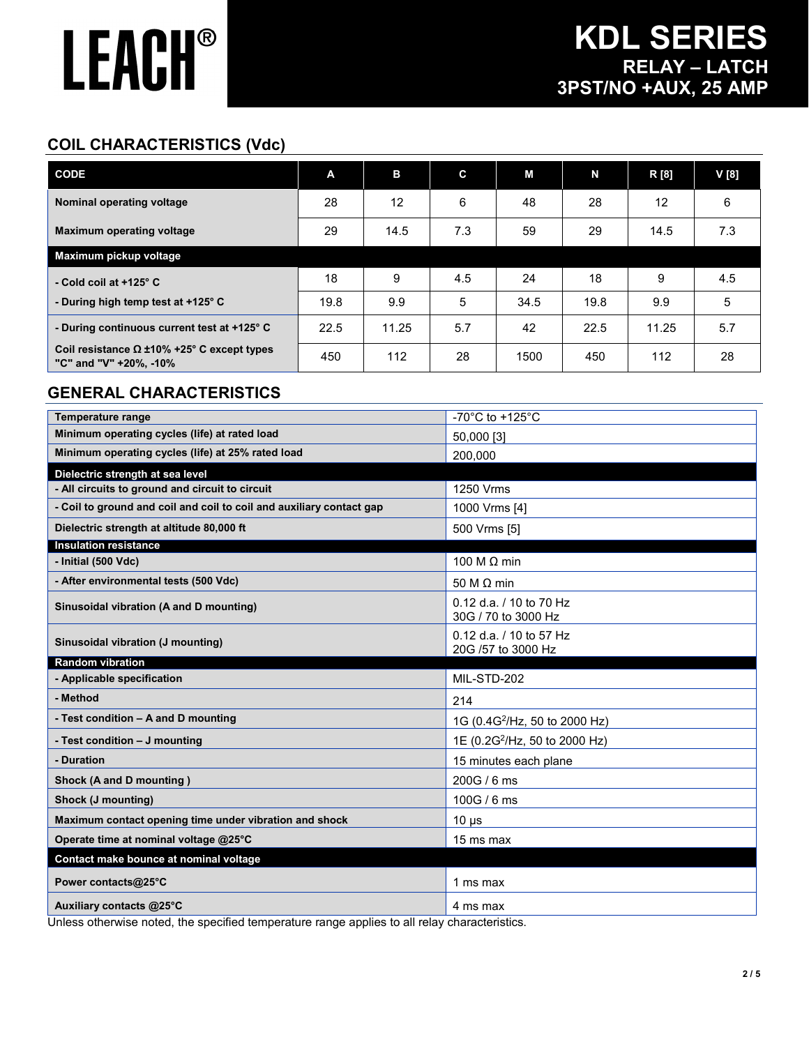### **COIL CHARACTERISTICS (Vdc)**

| <b>CODE</b>                                                                 | A    | в     | C   | М    | N    | R [8] | V[8] |
|-----------------------------------------------------------------------------|------|-------|-----|------|------|-------|------|
| Nominal operating voltage                                                   | 28   | 12    | 6   | 48   | 28   | 12    | 6    |
| <b>Maximum operating voltage</b>                                            | 29   | 14.5  | 7.3 | 59   | 29   | 14.5  | 7.3  |
| Maximum pickup voltage                                                      |      |       |     |      |      |       |      |
| - Cold coil at $+125^\circ$ C                                               | 18   | 9     | 4.5 | 24   | 18   | 9     | 4.5  |
| - During high temp test at +125° C                                          | 19.8 | 9.9   | 5   | 34.5 | 19.8 | 9.9   | 5    |
| - During continuous current test at +125° C                                 | 22.5 | 11.25 | 5.7 | 42   | 22.5 | 11.25 | 5.7  |
| Coil resistance $\Omega$ ±10% +25° C except types<br>"C" and "V" +20%, -10% | 450  | 112   | 28  | 1500 | 450  | 112   | 28   |

#### **GENERAL CHARACTERISTICS**

| <b>Temperature range</b>                                             | -70 $^{\circ}$ C to +125 $^{\circ}$ C          |
|----------------------------------------------------------------------|------------------------------------------------|
| Minimum operating cycles (life) at rated load                        | 50,000 [3]                                     |
| Minimum operating cycles (life) at 25% rated load                    | 200,000                                        |
| Dielectric strength at sea level                                     |                                                |
| - All circuits to ground and circuit to circuit                      | 1250 Vrms                                      |
| - Coil to ground and coil and coil to coil and auxiliary contact gap | 1000 Vrms [4]                                  |
| Dielectric strength at altitude 80,000 ft                            | 500 Vrms [5]                                   |
| <b>Insulation resistance</b>                                         |                                                |
| - Initial (500 Vdc)                                                  | 100 M $\Omega$ min                             |
| - After environmental tests (500 Vdc)                                | 50 M $\Omega$ min                              |
| Sinusoidal vibration (A and D mounting)                              | 0.12 d.a. / 10 to 70 Hz<br>30G / 70 to 3000 Hz |
| Sinusoidal vibration (J mounting)                                    | 0.12 d.a. / 10 to 57 Hz<br>20G /57 to 3000 Hz  |
|                                                                      |                                                |
| <b>Random vibration</b>                                              |                                                |
| - Applicable specification                                           | MIL-STD-202                                    |
| - Method                                                             | 214                                            |
| - Test condition - A and D mounting                                  | 1G (0.4G <sup>2</sup> /Hz, 50 to 2000 Hz)      |
| - Test condition - J mounting                                        | 1E (0.2G <sup>2</sup> /Hz, 50 to 2000 Hz)      |
| - Duration                                                           | 15 minutes each plane                          |
| Shock (A and D mounting)                                             | 200G / 6 ms                                    |
| Shock (J mounting)                                                   | 100G / 6 ms                                    |
| Maximum contact opening time under vibration and shock               | $10 \mu s$                                     |
| Operate time at nominal voltage @25°C                                | 15 ms max                                      |
| Contact make bounce at nominal voltage                               |                                                |
| Power contacts@25°C                                                  | 1 ms max                                       |

Unless otherwise noted, the specified temperature range applies to all relay characteristics.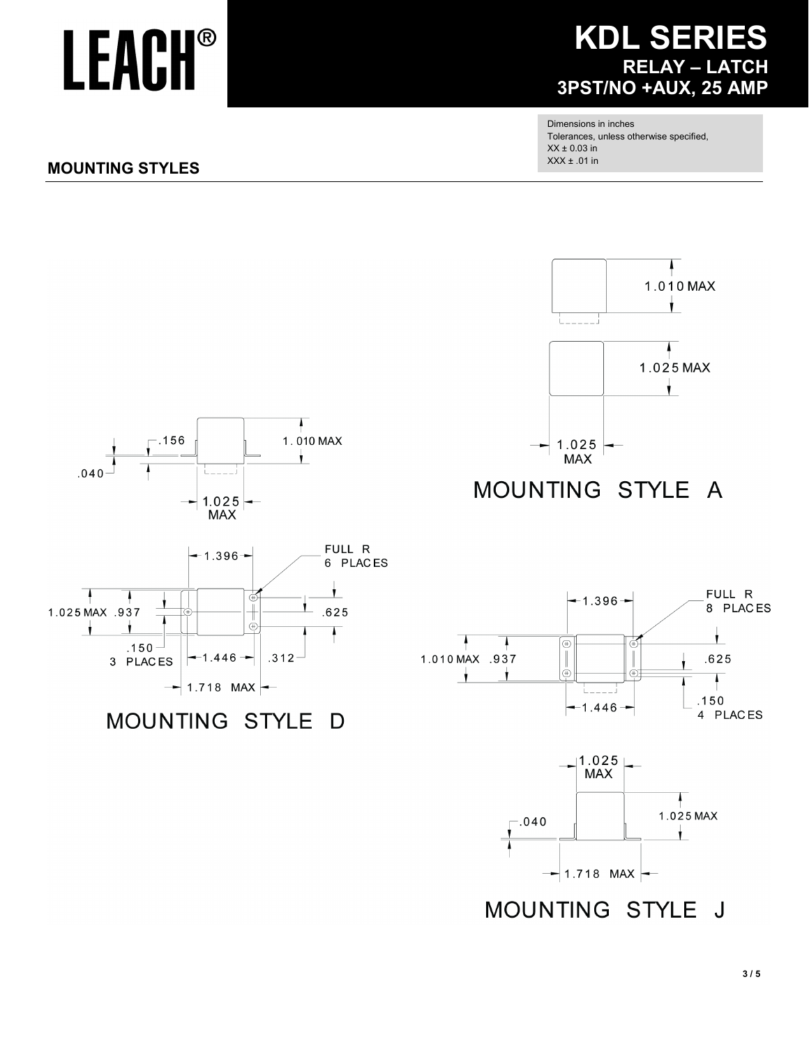### **KDL SERIES RELAY - LATCH** 3PST/NO +AUX, 25 AMP

Dimensions in inches Tolerances, unless otherwise specified,  $XX \pm 0.03$  in  $XXX ± .01$  in

#### **MOUNTING STYLES**

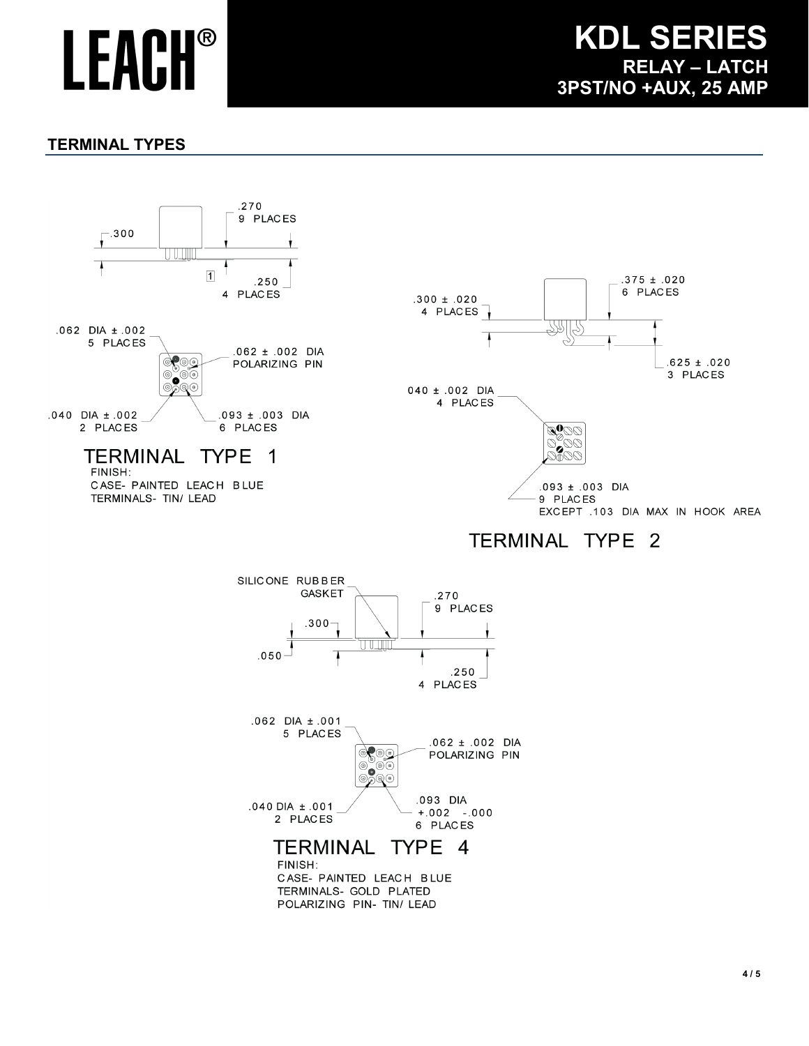### **KDL SERIES RELAY – LATCH 3PST/NO +AUX, 25 AMP**

#### **TERMINAL TYPES**



FINISH: CASE- PAINTED LEACH BLUE TERMINALS- GOLD PLATED POLARIZING PIN- TIN/ LEAD